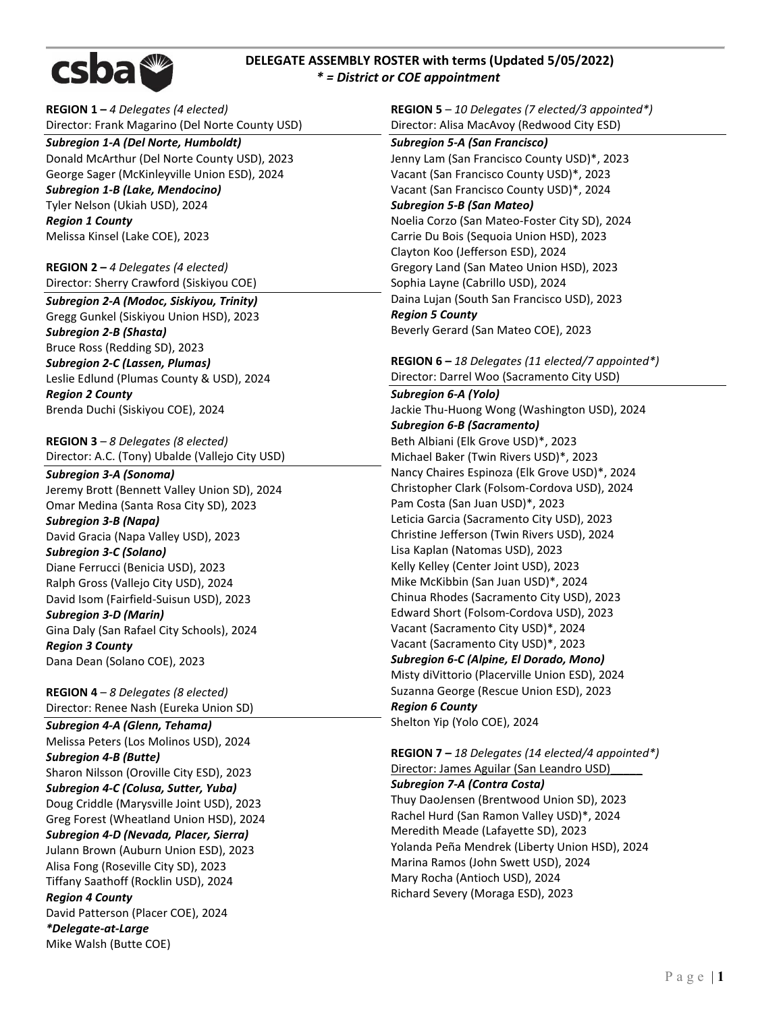

# **DELEGATE ASSEMBLY ROSTER with terms (Updated 5/05/2022)**  *\* = District or COE appointment*

**REGION 1 –** *4 Delegates (4 elected)* Director: Frank Magarino (Del Norte County USD)

*Subregion 1-A (Del Norte, Humboldt)*  Donald McArthur (Del Norte County USD), 2023 George Sager (McKinleyville Union ESD), 2024 *Subregion 1-B (Lake, Mendocino)* Tyler Nelson (Ukiah USD), 2024 *Region 1 County* Melissa Kinsel (Lake COE), 2023

**REGION 2 –** *4 Delegates (4 elected)* Director: Sherry Crawford (Siskiyou COE)

*Subregion 2-A (Modoc, Siskiyou, Trinity)* Gregg Gunkel (Siskiyou Union HSD), 2023 *Subregion 2-B (Shasta)* Bruce Ross (Redding SD), 2023 *Subregion 2-C (Lassen, Plumas)*  Leslie Edlund (Plumas County & USD), 2024 *Region 2 County*  Brenda Duchi (Siskiyou COE), 2024

**REGION 3** – *8 Delegates (8 elected)* Director: A.C. (Tony) Ubalde (Vallejo City USD)

*Subregion 3-A (Sonoma)*  Jeremy Brott (Bennett Valley Union SD), 2024 Omar Medina (Santa Rosa City SD), 2023 *Subregion 3-B (Napa)* David Gracia (Napa Valley USD), 2023

*Subregion 3-C (Solano)* Diane Ferrucci (Benicia USD), 2023 Ralph Gross (Vallejo City USD), 2024

David Isom (Fairfield-Suisun USD), 2023 *Subregion 3-D (Marin)* Gina Daly (San Rafael City Schools), 2024

*Region 3 County* Dana Dean (Solano COE), 2023

**REGION 4** – *8 Delegates (8 elected)* Director: Renee Nash (Eureka Union SD)

*Subregion 4-A (Glenn, Tehama)*  Melissa Peters (Los Molinos USD), 2024 *Subregion 4-B (Butte)* Sharon Nilsson (Oroville City ESD), 2023 *Subregion 4-C (Colusa, Sutter, Yuba)* Doug Criddle (Marysville Joint USD), 2023 Greg Forest (Wheatland Union HSD), 2024 *Subregion 4-D (Nevada, Placer, Sierra)* 

Julann Brown (Auburn Union ESD), 2023 Alisa Fong (Roseville City SD), 2023 Tiffany Saathoff (Rocklin USD), 2024

*Region 4 County* David Patterson (Placer COE), 2024 *\*Delegate-at-Large* Mike Walsh (Butte COE)

**REGION 5** – *10 Delegates (7 elected/3 appointed\*)* Director: Alisa MacAvoy (Redwood City ESD)

*Subregion 5-A (San Francisco)* Jenny Lam (San Francisco County USD)\*, 2023 Vacant (San Francisco County USD)\*, 2023 Vacant (San Francisco County USD)\*, 2024 *Subregion 5-B (San Mateo)* Noelia Corzo (San Mateo-Foster City SD), 2024 Carrie Du Bois (Sequoia Union HSD), 2023 Clayton Koo (Jefferson ESD), 2024 Gregory Land (San Mateo Union HSD), 2023 Sophia Layne (Cabrillo USD), 2024 Daina Lujan (South San Francisco USD), 2023 *Region 5 County* Beverly Gerard (San Mateo COE), 2023

**REGION 6 –** *18 Delegates (11 elected/7 appointed\*)* Director: Darrel Woo (Sacramento City USD)

*Subregion 6-A (Yolo)* Jackie Thu-Huong Wong (Washington USD), 2024 *Subregion 6-B (Sacramento)* Beth Albiani (Elk Grove USD)\*, 2023 Michael Baker (Twin Rivers USD)\*, 2023 Nancy Chaires Espinoza (Elk Grove USD)\*, 2024 Christopher Clark (Folsom-Cordova USD), 2024 Pam Costa (San Juan USD)\*, 2023 Leticia Garcia (Sacramento City USD), 2023 Christine Jefferson (Twin Rivers USD), 2024 Lisa Kaplan (Natomas USD), 2023 Kelly Kelley (Center Joint USD), 2023 Mike McKibbin (San Juan USD)\*, 2024 Chinua Rhodes (Sacramento City USD), 2023 Edward Short (Folsom-Cordova USD), 2023 Vacant (Sacramento City USD)\*, 2024 Vacant (Sacramento City USD)\*, 2023 *Subregion 6-C (Alpine, El Dorado, Mono)* Misty diVittorio (Placerville Union ESD), 2024 Suzanna George (Rescue Union ESD), 2023 *Region 6 County* Shelton Yip (Yolo COE), 2024

**REGION 7 –** *18 Delegates (14 elected/4 appointed\*)* Director: James Aguilar (San Leandro USD)\_\_\_\_\_ *Subregion 7-A (Contra Costa)* Thuy DaoJensen (Brentwood Union SD), 2023 Rachel Hurd (San Ramon Valley USD)\*, 2024 Meredith Meade (Lafayette SD), 2023 Yolanda Peña Mendrek (Liberty Union HSD), 2024 Marina Ramos (John Swett USD), 2024 Mary Rocha (Antioch USD), 2024 Richard Severy (Moraga ESD), 2023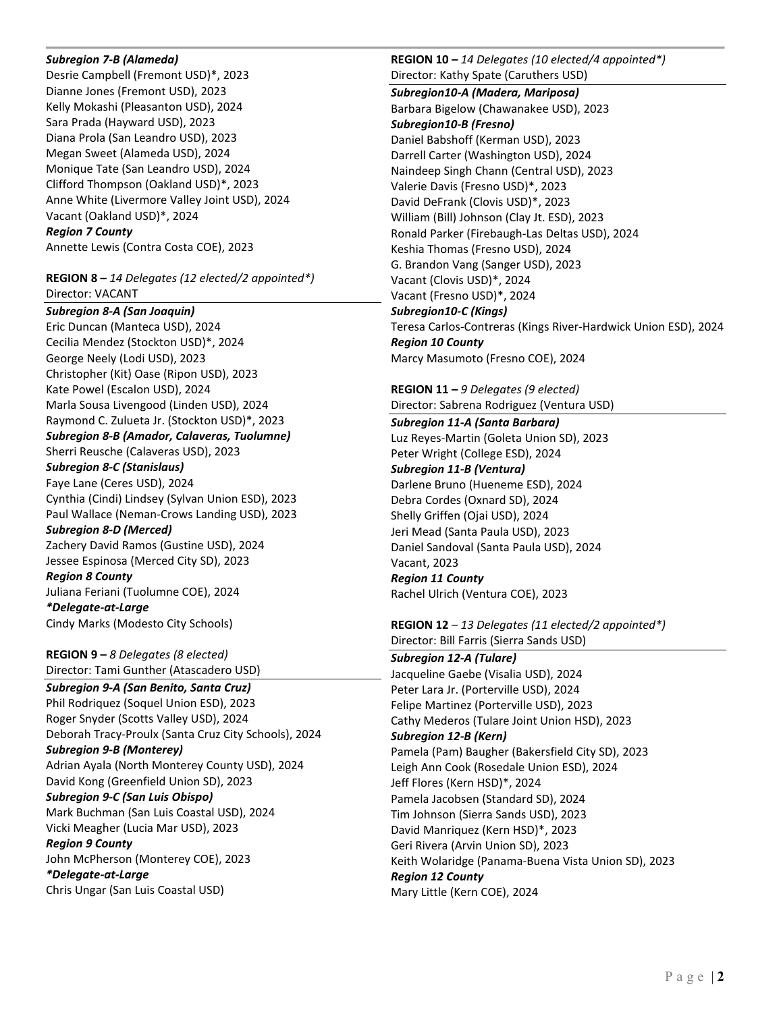### *Subregion 7-B (Alameda)*

Desrie Campbell (Fremont USD)\*, 2023 Dianne Jones (Fremont USD), 2023 Kelly Mokashi (Pleasanton USD), 2024 Sara Prada (Hayward USD), 2023 Diana Prola (San Leandro USD), 2023 Megan Sweet (Alameda USD), 2024 Monique Tate (San Leandro USD), 2024 Clifford Thompson (Oakland USD)\*, 2023 Anne White (Livermore Valley Joint USD), 2024 Vacant (Oakland USD)\*, 2024 *Region 7 County* Annette Lewis (Contra Costa COE), 2023

## **REGION 8 –** *14 Delegates (12 elected/2 appointed\*)* Director: VACANT

*Subregion 8-A (San Joaquin)*  Eric Duncan (Manteca USD), 2024 Cecilia Mendez (Stockton USD)\*, 2024 George Neely (Lodi USD), 2023 Christopher (Kit) Oase (Ripon USD), 2023 Kate Powel (Escalon USD), 2024 Marla Sousa Livengood (Linden USD), 2024 Raymond C. Zulueta Jr. (Stockton USD)\*, 2023 *Subregion 8-B (Amador, Calaveras, Tuolumne)* Sherri Reusche (Calaveras USD), 2023 *Subregion 8-C (Stanislaus)* Faye Lane (Ceres USD), 2024 Cynthia (Cindi) Lindsey (Sylvan Union ESD), 2023 Paul Wallace (Neman-Crows Landing USD), 2023 *Subregion 8-D (Merced)* Zachery David Ramos (Gustine USD), 2024 Jessee Espinosa (Merced City SD), 2023 *Region 8 County* Juliana Feriani (Tuolumne COE), 2024 *\*Delegate-at-Large* Cindy Marks (Modesto City Schools)

**REGION 9 –** *8 Delegates (8 elected)* Director: Tami Gunther (Atascadero USD)

*Subregion 9-A (San Benito, Santa Cruz)*  Phil Rodriquez (Soquel Union ESD), 2023 Roger Snyder (Scotts Valley USD), 2024 Deborah Tracy-Proulx (Santa Cruz City Schools), 2024 *Subregion 9-B (Monterey)*  Adrian Ayala (North Monterey County USD), 2024 David Kong (Greenfield Union SD), 2023 *Subregion 9-C (San Luis Obispo)* Mark Buchman (San Luis Coastal USD), 2024 Vicki Meagher (Lucia Mar USD), 2023 *Region 9 County* John McPherson (Monterey COE), 2023 *\*Delegate-at-Large* Chris Ungar (San Luis Coastal USD)

**REGION 10 –** *14 Delegates (10 elected/4 appointed\*)* Director: Kathy Spate (Caruthers USD)

*Subregion10-A (Madera, Mariposa)*  Barbara Bigelow (Chawanakee USD), 2023 *Subregion10-B (Fresno)*  Daniel Babshoff (Kerman USD), 2023 Darrell Carter (Washington USD), 2024 Naindeep Singh Chann (Central USD), 2023 Valerie Davis (Fresno USD)\*, 2023 David DeFrank (Clovis USD)\*, 2023 William (Bill) Johnson (Clay Jt. ESD), 2023 Ronald Parker (Firebaugh-Las Deltas USD), 2024 Keshia Thomas (Fresno USD), 2024 G. Brandon Vang (Sanger USD), 2023 Vacant (Clovis USD)\*, 2024 Vacant (Fresno USD)\*, 2024 *Subregion10-C (Kings)*  Teresa Carlos-Contreras (Kings River-Hardwick Union ESD), 2024 *Region 10 County*

Marcy Masumoto (Fresno COE), 2024

**REGION 11 –** *9 Delegates (9 elected)* Director: Sabrena Rodriguez (Ventura USD)

*Subregion 11-A (Santa Barbara)*  Luz Reyes-Martin (Goleta Union SD), 2023 Peter Wright (College ESD), 2024 *Subregion 11-B (Ventura)*  Darlene Bruno (Hueneme ESD), 2024 Debra Cordes (Oxnard SD), 2024 Shelly Griffen (Ojai USD), 2024 Jeri Mead (Santa Paula USD), 2023 Daniel Sandoval (Santa Paula USD), 2024 Vacant, 2023 *Region 11 County* Rachel Ulrich (Ventura COE), 2023

**REGION 12** – *13 Delegates (11 elected/2 appointed\*)* Director: Bill Farris (Sierra Sands USD)

*Subregion 12-A (Tulare)*  Jacqueline Gaebe (Visalia USD), 2024 Peter Lara Jr. (Porterville USD), 2024 Felipe Martinez (Porterville USD), 2023 Cathy Mederos (Tulare Joint Union HSD), 2023 *Subregion 12-B (Kern)* Pamela (Pam) Baugher (Bakersfield City SD), 2023 Leigh Ann Cook (Rosedale Union ESD), 2024 Jeff Flores (Kern HSD)\*, 2024 Pamela Jacobsen (Standard SD), 2024 Tim Johnson (Sierra Sands USD), 2023 David Manriquez (Kern HSD)\*, 2023 Geri Rivera (Arvin Union SD), 2023 Keith Wolaridge (Panama-Buena Vista Union SD), 2023 *Region 12 County* Mary Little (Kern COE), 2024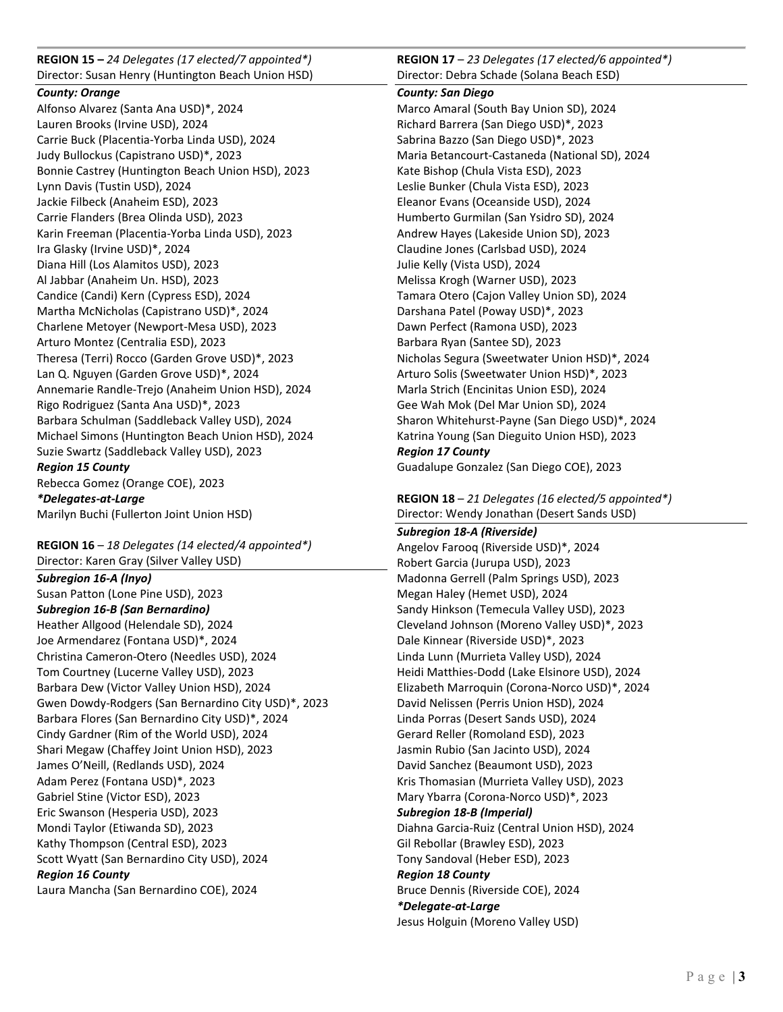**REGION 15 –** *24 Delegates (17 elected/7 appointed\*)* Director: Susan Henry (Huntington Beach Union HSD)

# *County: Orange*

Alfonso Alvarez (Santa Ana USD)\*, 2024 Lauren Brooks (Irvine USD), 2024 Carrie Buck (Placentia-Yorba Linda USD), 2024 Judy Bullockus (Capistrano USD)\*, 2023 Bonnie Castrey (Huntington Beach Union HSD), 2023 Lynn Davis (Tustin USD), 2024 Jackie Filbeck (Anaheim ESD), 2023 Carrie Flanders (Brea Olinda USD), 2023 Karin Freeman (Placentia-Yorba Linda USD), 2023 Ira Glasky (Irvine USD)\*, 2024 Diana Hill (Los Alamitos USD), 2023 Al Jabbar (Anaheim Un. HSD), 2023 Candice (Candi) Kern (Cypress ESD), 2024 Martha McNicholas (Capistrano USD)\*, 2024 Charlene Metoyer (Newport-Mesa USD), 2023 Arturo Montez (Centralia ESD), 2023 Theresa (Terri) Rocco (Garden Grove USD)\*, 2023 Lan Q. Nguyen (Garden Grove USD)\*, 2024 Annemarie Randle-Trejo (Anaheim Union HSD), 2024 Rigo Rodriguez (Santa Ana USD)\*, 2023 Barbara Schulman (Saddleback Valley USD), 2024 Michael Simons (Huntington Beach Union HSD), 2024 Suzie Swartz (Saddleback Valley USD), 2023 *Region 15 County* Rebecca Gomez (Orange COE), 2023 *\*Delegates-at-Large* Marilyn Buchi (Fullerton Joint Union HSD)

**REGION 16** – *18 Delegates (14 elected/4 appointed\*)*

Director: Karen Gray (Silver Valley USD) *Subregion 16-A (Inyo)*  Susan Patton (Lone Pine USD), 2023 *Subregion 16-B (San Bernardino)*  Heather Allgood (Helendale SD), 2024 Joe Armendarez (Fontana USD)\*, 2024 Christina Cameron-Otero (Needles USD), 2024 Tom Courtney (Lucerne Valley USD), 2023 Barbara Dew (Victor Valley Union HSD), 2024 Gwen Dowdy-Rodgers (San Bernardino City USD)\*, 2023 Barbara Flores (San Bernardino City USD)\*, 2024 Cindy Gardner (Rim of the World USD), 2024 Shari Megaw (Chaffey Joint Union HSD), 2023 James O'Neill, (Redlands USD), 2024 Adam Perez (Fontana USD)\*, 2023 Gabriel Stine (Victor ESD), 2023 Eric Swanson (Hesperia USD), 2023 Mondi Taylor (Etiwanda SD), 2023 Kathy Thompson (Central ESD), 2023

Scott Wyatt (San Bernardino City USD), 2024 *Region 16 County*

Laura Mancha (San Bernardino COE), 2024

**REGION 17** – *23 Delegates (17 elected/6 appointed\*)*  Director: Debra Schade (Solana Beach ESD)

## *County: San Diego*

Marco Amaral (South Bay Union SD), 2024 Richard Barrera (San Diego USD)\*, 2023 Sabrina Bazzo (San Diego USD)\*, 2023 Maria Betancourt-Castaneda (National SD), 2024 Kate Bishop (Chula Vista ESD), 2023 Leslie Bunker (Chula Vista ESD), 2023 Eleanor Evans (Oceanside USD), 2024 Humberto Gurmilan (San Ysidro SD), 2024 Andrew Hayes (Lakeside Union SD), 2023 Claudine Jones (Carlsbad USD), 2024 Julie Kelly (Vista USD), 2024 Melissa Krogh (Warner USD), 2023 Tamara Otero (Cajon Valley Union SD), 2024 Darshana Patel (Poway USD)\*, 2023 Dawn Perfect (Ramona USD), 2023 Barbara Ryan (Santee SD), 2023 Nicholas Segura (Sweetwater Union HSD)\*, 2024 Arturo Solis (Sweetwater Union HSD)\*, 2023 Marla Strich (Encinitas Union ESD), 2024 Gee Wah Mok (Del Mar Union SD), 2024 Sharon Whitehurst-Payne (San Diego USD)\*, 2024 Katrina Young (San Dieguito Union HSD), 2023 *Region 17 County* Guadalupe Gonzalez (San Diego COE), 2023

**REGION 18** – *21 Delegates (16 elected/5 appointed\*)* Director: Wendy Jonathan (Desert Sands USD)

*Subregion 18-A (Riverside)* Angelov Farooq (Riverside USD)\*, 2024 Robert Garcia (Jurupa USD), 2023 Madonna Gerrell (Palm Springs USD), 2023 Megan Haley (Hemet USD), 2024 Sandy Hinkson (Temecula Valley USD), 2023 Cleveland Johnson (Moreno Valley USD)\*, 2023 Dale Kinnear (Riverside USD)\*, 2023 Linda Lunn (Murrieta Valley USD), 2024 Heidi Matthies-Dodd (Lake Elsinore USD), 2024 Elizabeth Marroquin (Corona-Norco USD)\*, 2024 David Nelissen (Perris Union HSD), 2024 Linda Porras (Desert Sands USD), 2024 Gerard Reller (Romoland ESD), 2023 Jasmin Rubio (San Jacinto USD), 2024 David Sanchez (Beaumont USD), 2023 Kris Thomasian (Murrieta Valley USD), 2023 Mary Ybarra (Corona-Norco USD)\*, 2023 *Subregion 18-B (Imperial)* Diahna Garcia-Ruiz (Central Union HSD), 2024 Gil Rebollar (Brawley ESD), 2023 Tony Sandoval (Heber ESD), 2023 *Region 18 County*  Bruce Dennis (Riverside COE), 2024 *\*Delegate-at-Large* Jesus Holguin (Moreno Valley USD)